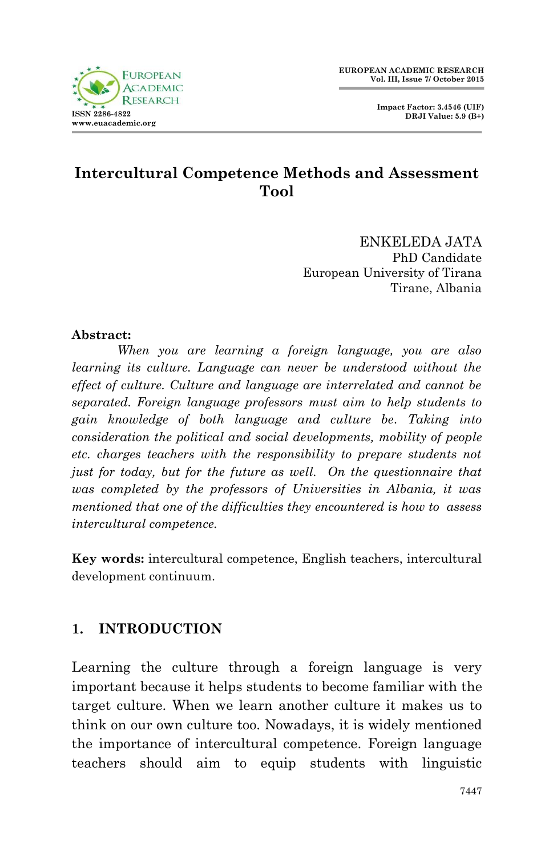



#### **Intercultural Competence Methods and Assessment Tool**

ENKELEDA JATA PhD Candidate European University of Tirana Tirane, Albania

#### **Abstract:**

*When you are learning a foreign language, you are also learning its culture. Language can never be understood without the effect of culture. Culture and language are interrelated and cannot be separated. Foreign language professors must aim to help students to gain knowledge of both language and culture be. Taking into consideration the political and social developments, mobility of people etc. charges teachers with the responsibility to prepare students not just for today, but for the future as well. On the questionnaire that was completed by the professors of Universities in Albania, it was mentioned that one of the difficulties they encountered is how to assess intercultural competence.*

**Key words:** intercultural competence, English teachers, intercultural development continuum.

#### **1. INTRODUCTION**

Learning the culture through a foreign language is very important because it helps students to become familiar with the target culture. When we learn another culture it makes us to think on our own culture too. Nowadays, it is widely mentioned the importance of intercultural competence. Foreign language teachers should aim to equip students with linguistic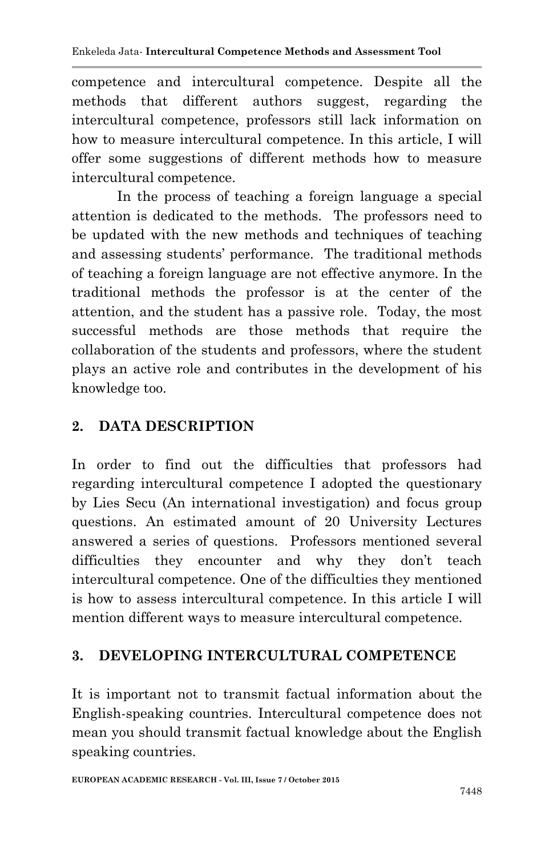competence and intercultural competence. Despite all the methods that different authors suggest, regarding the intercultural competence, professors still lack information on how to measure intercultural competence. In this article, I will offer some suggestions of different methods how to measure intercultural competence.

In the process of teaching a foreign language a special attention is dedicated to the methods. The professors need to be updated with the new methods and techniques of teaching and assessing students' performance. The traditional methods of teaching a foreign language are not effective anymore. In the traditional methods the professor is at the center of the attention, and the student has a passive role. Today, the most successful methods are those methods that require the collaboration of the students and professors, where the student plays an active role and contributes in the development of his knowledge too.

# **2. DATA DESCRIPTION**

In order to find out the difficulties that professors had regarding intercultural competence I adopted the questionary by Lies Secu (An international investigation) and focus group questions. An estimated amount of 20 University Lectures answered a series of questions. Professors mentioned several difficulties they encounter and why they don't teach intercultural competence. One of the difficulties they mentioned is how to assess intercultural competence. In this article I will mention different ways to measure intercultural competence.

## **3. DEVELOPING INTERCULTURAL COMPETENCE**

It is important not to transmit factual information about the English-speaking countries. Intercultural competence does not mean you should transmit factual knowledge about the English speaking countries.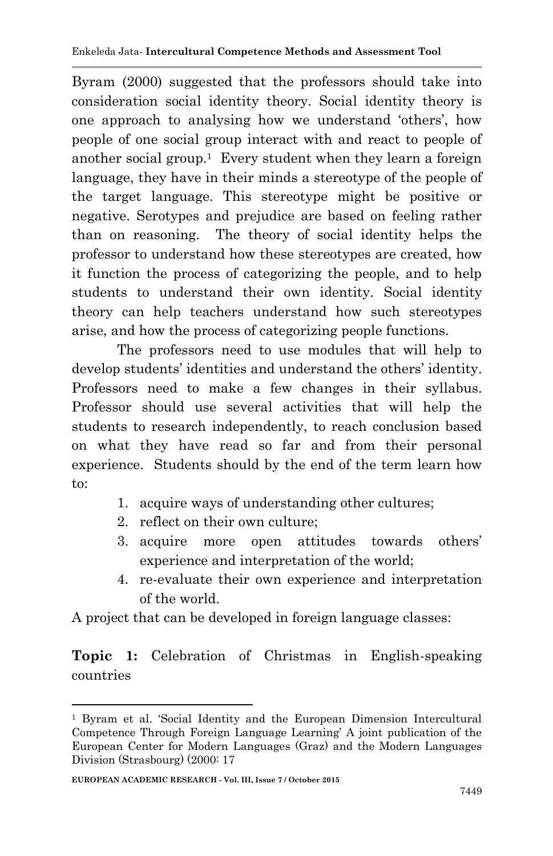Byram (2000) suggested that the professors should take into consideration social identity theory. Social identity theory is one approach to analysing how we understand 'others', how people of one social group interact with and react to people of another social group.<sup>1</sup> Every student when they learn a foreign language, they have in their minds a stereotype of the people of the target language. This stereotype might be positive or negative. Serotypes and prejudice are based on feeling rather than on reasoning. The theory of social identity helps the professor to understand how these stereotypes are created, how it function the process of categorizing the people, and to help students to understand their own identity. Social identity theory can help teachers understand how such stereotypes arise, and how the process of categorizing people functions.

The professors need to use modules that will help to develop students' identities and understand the others' identity. Professors need to make a few changes in their syllabus. Professor should use several activities that will help the students to research independently, to reach conclusion based on what they have read so far and from their personal experience. Students should by the end of the term learn how to:

- 1. acquire ways of understanding other cultures;
- 2. reflect on their own culture;
- 3. acquire more open attitudes towards others' experience and interpretation of the world;
- 4. re-evaluate their own experience and interpretation of the world.

A project that can be developed in foreign language classes:

**Topic 1:** Celebration of Christmas in English-speaking countries

**.** 

<sup>&</sup>lt;sup>1</sup> Byram et al. 'Social Identity and the European Dimension Intercultural Competence Through Foreign Language Learning' A joint publication of the European Center for Modern Languages (Graz) and the Modern Languages Division (Strasbourg) (2000: 17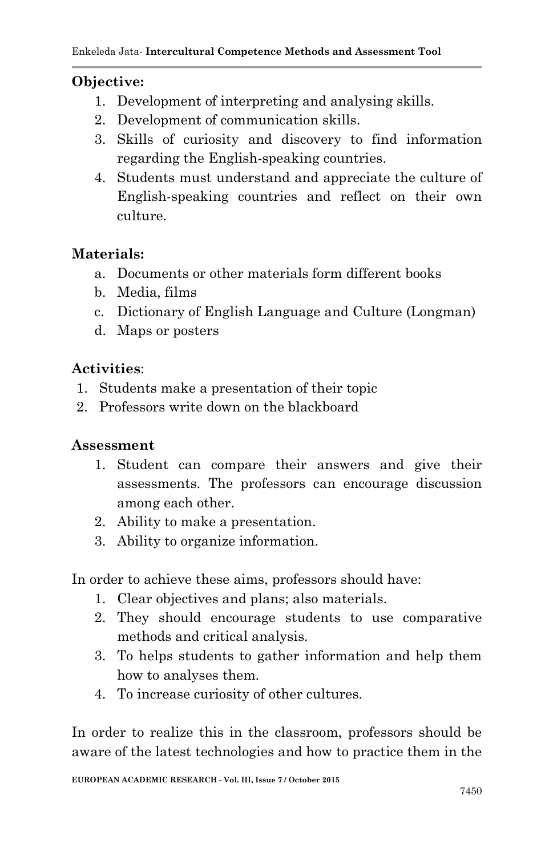#### **Objective:**

- 1. Development of interpreting and analysing skills.
- 2. Development of communication skills.
- 3. Skills of curiosity and discovery to find information regarding the English-speaking countries.
- 4. Students must understand and appreciate the culture of English-speaking countries and reflect on their own culture.

#### **Materials:**

- a. Documents or other materials form different books
- b. Media, films
- c. Dictionary of English Language and Culture (Longman)
- d. Maps or posters

#### **Activities**:

- 1. Students make a presentation of their topic
- 2. Professors write down on the blackboard

#### **Assessment**

- 1. Student can compare their answers and give their assessments. The professors can encourage discussion among each other.
- 2. Ability to make a presentation.
- 3. Ability to organize information.

In order to achieve these aims, professors should have:

- 1. Clear objectives and plans; also materials.
- 2. They should encourage students to use comparative methods and critical analysis.
- 3. To helps students to gather information and help them how to analyses them.
- 4. To increase curiosity of other cultures.

In order to realize this in the classroom, professors should be aware of the latest technologies and how to practice them in the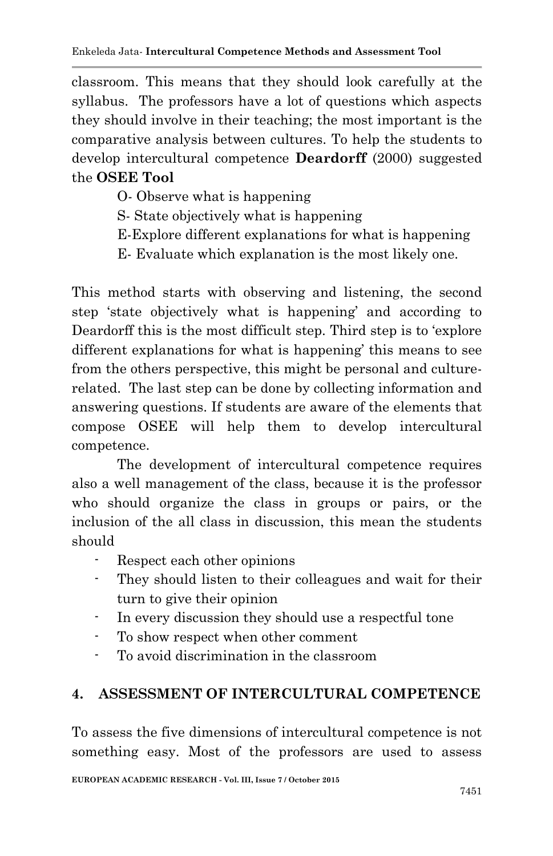classroom. This means that they should look carefully at the syllabus. The professors have a lot of questions which aspects they should involve in their teaching; the most important is the comparative analysis between cultures. To help the students to develop intercultural competence **Deardorff** (2000) suggested the **OSEE Tool**

- O- Observe what is happening
- S- State objectively what is happening
- E-Explore different explanations for what is happening
- E- Evaluate which explanation is the most likely one.

This method starts with observing and listening, the second step 'state objectively what is happening' and according to Deardorff this is the most difficult step. Third step is to 'explore different explanations for what is happening' this means to see from the others perspective, this might be personal and culturerelated. The last step can be done by collecting information and answering questions. If students are aware of the elements that compose OSEE will help them to develop intercultural competence.

The development of intercultural competence requires also a well management of the class, because it is the professor who should organize the class in groups or pairs, or the inclusion of the all class in discussion, this mean the students should

- Respect each other opinions
- They should listen to their colleagues and wait for their turn to give their opinion
- In every discussion they should use a respectful tone
- To show respect when other comment
- To avoid discrimination in the classroom

## **4. ASSESSMENT OF INTERCULTURAL COMPETENCE**

To assess the five dimensions of intercultural competence is not something easy. Most of the professors are used to assess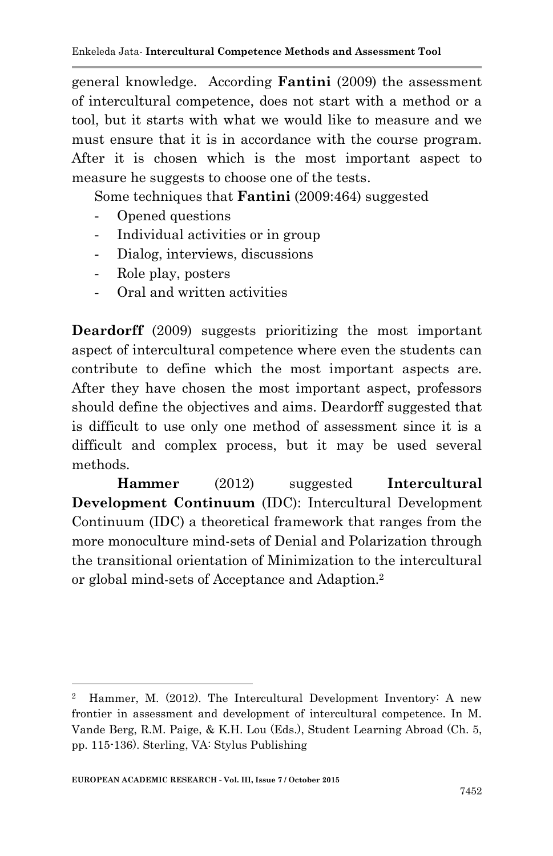general knowledge. According **Fantini** (2009) the assessment of intercultural competence, does not start with a method or a tool, but it starts with what we would like to measure and we must ensure that it is in accordance with the course program. After it is chosen which is the most important aspect to measure he suggests to choose one of the tests.

Some techniques that **Fantini** (2009:464) suggested

- Opened questions
- Individual activities or in group
- Dialog, interviews, discussions
- Role play, posters
- Oral and written activities

**Deardorff** (2009) suggests prioritizing the most important aspect of intercultural competence where even the students can contribute to define which the most important aspects are. After they have chosen the most important aspect, professors should define the objectives and aims. Deardorff suggested that is difficult to use only one method of assessment since it is a difficult and complex process, but it may be used several methods.

**Hammer** (2012) suggested **Intercultural Development Continuum** (IDC): Intercultural Development Continuum (IDC) a theoretical framework that ranges from the more monoculture mind-sets of Denial and Polarization through the transitional orientation of Minimization to the intercultural or global mind-sets of Acceptance and Adaption. 2

1

<sup>2</sup> Hammer, M. (2012). The Intercultural Development Inventory: A new frontier in assessment and development of intercultural competence. In M. Vande Berg, R.M. Paige, & K.H. Lou (Eds.), Student Learning Abroad (Ch. 5, pp. 115-136). Sterling, VA: Stylus Publishing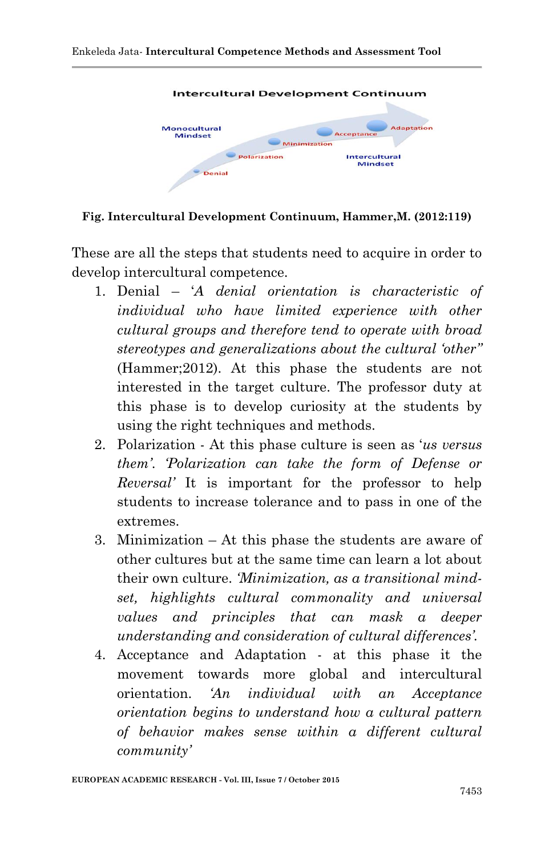

**Fig. Intercultural Development Continuum, Hammer,M. (2012:119)**

These are all the steps that students need to acquire in order to develop intercultural competence.

- 1. Denial '*A denial orientation is characteristic of individual who have limited experience with other cultural groups and therefore tend to operate with broad stereotypes and generalizations about the cultural 'other''*  (Hammer;2012). At this phase the students are not interested in the target culture. The professor duty at this phase is to develop curiosity at the students by using the right techniques and methods.
- 2. Polarization At this phase culture is seen as '*us versus them'*. *'Polarization can take the form of Defense or Reversal'* It is important for the professor to help students to increase tolerance and to pass in one of the extremes.
- 3. Minimization At this phase the students are aware of other cultures but at the same time can learn a lot about their own culture. *'Minimization, as a transitional mindset, highlights cultural commonality and universal values and principles that can mask a deeper understanding and consideration of cultural differences'.*
- 4. Acceptance and Adaptation at this phase it the movement towards more global and intercultural orientation. *'An individual with an Acceptance orientation begins to understand how a cultural pattern of behavior makes sense within a different cultural community'*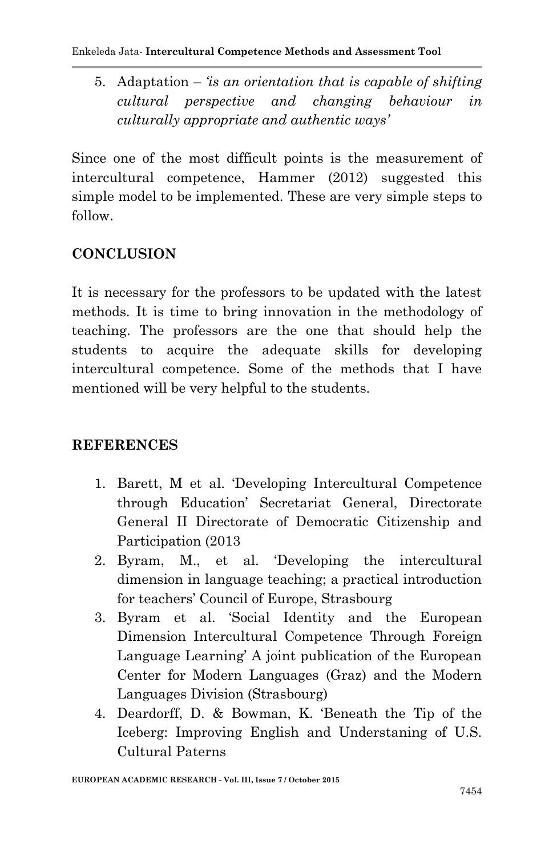5. Adaptation – *'is an orientation that is capable of shifting cultural perspective and changing behaviour in culturally appropriate and authentic ways'*

Since one of the most difficult points is the measurement of intercultural competence, Hammer (2012) suggested this simple model to be implemented. These are very simple steps to follow.

## **CONCLUSION**

It is necessary for the professors to be updated with the latest methods. It is time to bring innovation in the methodology of teaching. The professors are the one that should help the students to acquire the adequate skills for developing intercultural competence. Some of the methods that I have mentioned will be very helpful to the students.

## **REFERENCES**

- 1. Barett, M et al. 'Developing Intercultural Competence through Education' Secretariat General, Directorate General II Directorate of Democratic Citizenship and Participation (2013
- 2. Byram, M., et al. 'Developing the intercultural dimension in language teaching; a practical introduction for teachers' Council of Europe, Strasbourg
- 3. Byram et al. 'Social Identity and the European Dimension Intercultural Competence Through Foreign Language Learning' A joint publication of the European Center for Modern Languages (Graz) and the Modern Languages Division (Strasbourg)
- 4. Deardorff, D. & Bowman, K. 'Beneath the Tip of the Iceberg: Improving English and Understaning of U.S. Cultural Paterns